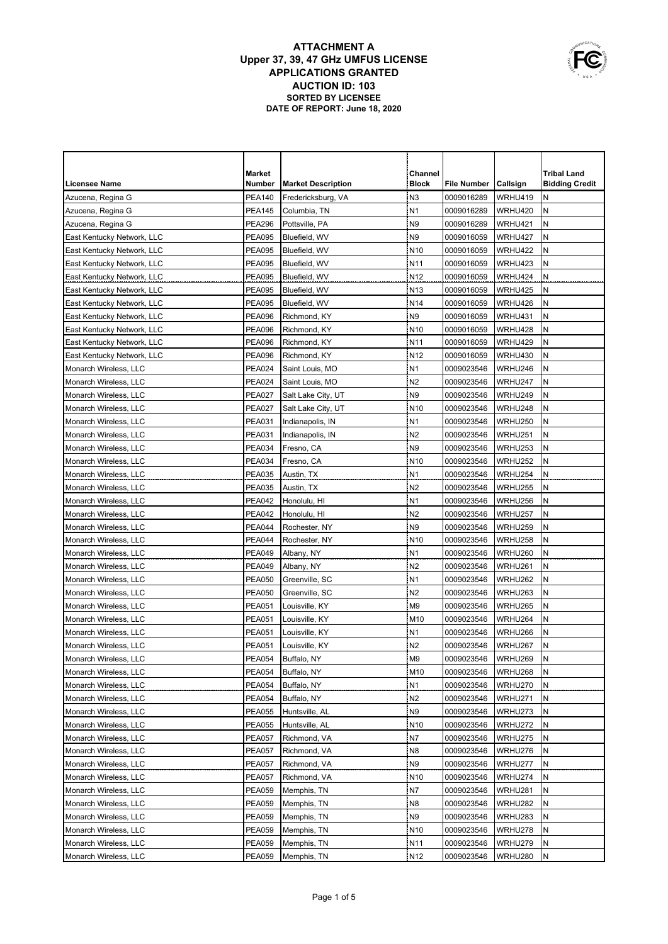| Market<br>Channel<br><b>Tribal Land</b><br><b>Block</b><br><b>Licensee Name</b><br>Number<br><b>Market Description</b><br>File Number<br> Callsign<br><b>Bidding Credit</b><br><b>PEA140</b><br>N <sub>3</sub><br>0009016289<br>WRHU419<br>N<br>Azucena, Regina G<br>Fredericksburg, VA<br>${\sf N}$<br>N <sub>1</sub><br><b>PEA145</b><br>WRHU420<br>Azucena, Regina G<br>Columbia, TN<br>0009016289<br>N <sub>9</sub><br>Ν<br><b>PEA296</b><br>0009016289<br>WRHU421<br>Azucena, Regina G<br>Pottsville, PA<br>N <sub>9</sub><br>N<br><b>PEA095</b><br>0009016059<br>WRHU427<br>East Kentucky Network, LLC<br>Bluefield, WV<br>N<br><b>PEA095</b><br>N <sub>10</sub><br>0009016059<br>WRHU422<br>East Kentucky Network, LLC<br>Bluefield, WV<br>N<br><b>PEA095</b><br>N <sub>11</sub><br>0009016059<br>WRHU423<br>East Kentucky Network, LLC<br>Bluefield, WV<br>N<br><b>PEA095</b><br>N <sub>12</sub><br>0009016059<br>WRHU424<br>East Kentucky Network, LLC<br>Bluefield, WV<br>${\sf N}$<br><b>PEA095</b><br>N <sub>13</sub><br>0009016059<br>WRHU425<br>East Kentucky Network, LLC<br>Bluefield, WV<br>${\sf N}$<br><b>PEA095</b><br>N <sub>14</sub><br>0009016059<br>WRHU426<br>East Kentucky Network, LLC<br>Bluefield, WV<br><b>PEA096</b><br>WRHU431<br>N<br>Richmond, KY<br>N <sub>9</sub><br>0009016059<br>East Kentucky Network, LLC<br>N<br><b>PEA096</b><br>N <sub>10</sub><br>0009016059<br>WRHU428<br>Richmond, KY<br>East Kentucky Network, LLC<br>N<br><b>PEA096</b><br>N <sub>11</sub><br>0009016059<br>WRHU429<br>East Kentucky Network, LLC<br>Richmond, KY<br>N<br><b>PEA096</b><br>N <sub>12</sub><br>0009016059<br>WRHU430<br>East Kentucky Network, LLC<br>Richmond, KY |
|---------------------------------------------------------------------------------------------------------------------------------------------------------------------------------------------------------------------------------------------------------------------------------------------------------------------------------------------------------------------------------------------------------------------------------------------------------------------------------------------------------------------------------------------------------------------------------------------------------------------------------------------------------------------------------------------------------------------------------------------------------------------------------------------------------------------------------------------------------------------------------------------------------------------------------------------------------------------------------------------------------------------------------------------------------------------------------------------------------------------------------------------------------------------------------------------------------------------------------------------------------------------------------------------------------------------------------------------------------------------------------------------------------------------------------------------------------------------------------------------------------------------------------------------------------------------------------------------------------------------------------------------------------------------------------------------------|
|                                                                                                                                                                                                                                                                                                                                                                                                                                                                                                                                                                                                                                                                                                                                                                                                                                                                                                                                                                                                                                                                                                                                                                                                                                                                                                                                                                                                                                                                                                                                                                                                                                                                                                   |
|                                                                                                                                                                                                                                                                                                                                                                                                                                                                                                                                                                                                                                                                                                                                                                                                                                                                                                                                                                                                                                                                                                                                                                                                                                                                                                                                                                                                                                                                                                                                                                                                                                                                                                   |
|                                                                                                                                                                                                                                                                                                                                                                                                                                                                                                                                                                                                                                                                                                                                                                                                                                                                                                                                                                                                                                                                                                                                                                                                                                                                                                                                                                                                                                                                                                                                                                                                                                                                                                   |
|                                                                                                                                                                                                                                                                                                                                                                                                                                                                                                                                                                                                                                                                                                                                                                                                                                                                                                                                                                                                                                                                                                                                                                                                                                                                                                                                                                                                                                                                                                                                                                                                                                                                                                   |
|                                                                                                                                                                                                                                                                                                                                                                                                                                                                                                                                                                                                                                                                                                                                                                                                                                                                                                                                                                                                                                                                                                                                                                                                                                                                                                                                                                                                                                                                                                                                                                                                                                                                                                   |
|                                                                                                                                                                                                                                                                                                                                                                                                                                                                                                                                                                                                                                                                                                                                                                                                                                                                                                                                                                                                                                                                                                                                                                                                                                                                                                                                                                                                                                                                                                                                                                                                                                                                                                   |
|                                                                                                                                                                                                                                                                                                                                                                                                                                                                                                                                                                                                                                                                                                                                                                                                                                                                                                                                                                                                                                                                                                                                                                                                                                                                                                                                                                                                                                                                                                                                                                                                                                                                                                   |
|                                                                                                                                                                                                                                                                                                                                                                                                                                                                                                                                                                                                                                                                                                                                                                                                                                                                                                                                                                                                                                                                                                                                                                                                                                                                                                                                                                                                                                                                                                                                                                                                                                                                                                   |
|                                                                                                                                                                                                                                                                                                                                                                                                                                                                                                                                                                                                                                                                                                                                                                                                                                                                                                                                                                                                                                                                                                                                                                                                                                                                                                                                                                                                                                                                                                                                                                                                                                                                                                   |
|                                                                                                                                                                                                                                                                                                                                                                                                                                                                                                                                                                                                                                                                                                                                                                                                                                                                                                                                                                                                                                                                                                                                                                                                                                                                                                                                                                                                                                                                                                                                                                                                                                                                                                   |
|                                                                                                                                                                                                                                                                                                                                                                                                                                                                                                                                                                                                                                                                                                                                                                                                                                                                                                                                                                                                                                                                                                                                                                                                                                                                                                                                                                                                                                                                                                                                                                                                                                                                                                   |
|                                                                                                                                                                                                                                                                                                                                                                                                                                                                                                                                                                                                                                                                                                                                                                                                                                                                                                                                                                                                                                                                                                                                                                                                                                                                                                                                                                                                                                                                                                                                                                                                                                                                                                   |
|                                                                                                                                                                                                                                                                                                                                                                                                                                                                                                                                                                                                                                                                                                                                                                                                                                                                                                                                                                                                                                                                                                                                                                                                                                                                                                                                                                                                                                                                                                                                                                                                                                                                                                   |
|                                                                                                                                                                                                                                                                                                                                                                                                                                                                                                                                                                                                                                                                                                                                                                                                                                                                                                                                                                                                                                                                                                                                                                                                                                                                                                                                                                                                                                                                                                                                                                                                                                                                                                   |
|                                                                                                                                                                                                                                                                                                                                                                                                                                                                                                                                                                                                                                                                                                                                                                                                                                                                                                                                                                                                                                                                                                                                                                                                                                                                                                                                                                                                                                                                                                                                                                                                                                                                                                   |
| N<br><b>PEA024</b><br>N <sub>1</sub><br>0009023546<br>WRHU246<br>Monarch Wireless, LLC<br>Saint Louis, MO                                                                                                                                                                                                                                                                                                                                                                                                                                                                                                                                                                                                                                                                                                                                                                                                                                                                                                                                                                                                                                                                                                                                                                                                                                                                                                                                                                                                                                                                                                                                                                                         |
| Ν<br><b>PEA024</b><br>N <sub>2</sub><br>0009023546<br>WRHU247<br>Monarch Wireless, LLC<br>Saint Louis, MO                                                                                                                                                                                                                                                                                                                                                                                                                                                                                                                                                                                                                                                                                                                                                                                                                                                                                                                                                                                                                                                                                                                                                                                                                                                                                                                                                                                                                                                                                                                                                                                         |
| N <sub>9</sub><br>N<br><b>PEA027</b><br>0009023546<br>WRHU249<br>Monarch Wireless, LLC<br>Salt Lake City, UT                                                                                                                                                                                                                                                                                                                                                                                                                                                                                                                                                                                                                                                                                                                                                                                                                                                                                                                                                                                                                                                                                                                                                                                                                                                                                                                                                                                                                                                                                                                                                                                      |
| <b>PEA027</b><br>N <sub>10</sub><br>0009023546<br>WRHU248<br>Ν<br>Monarch Wireless, LLC<br>Salt Lake City, UT                                                                                                                                                                                                                                                                                                                                                                                                                                                                                                                                                                                                                                                                                                                                                                                                                                                                                                                                                                                                                                                                                                                                                                                                                                                                                                                                                                                                                                                                                                                                                                                     |
| N<br><b>PEA031</b><br>N1<br>0009023546<br>WRHU250<br>Monarch Wireless, LLC<br>Indianapolis, IN                                                                                                                                                                                                                                                                                                                                                                                                                                                                                                                                                                                                                                                                                                                                                                                                                                                                                                                                                                                                                                                                                                                                                                                                                                                                                                                                                                                                                                                                                                                                                                                                    |
| N<br>N <sub>2</sub><br>Monarch Wireless, LLC<br>PEA031<br>Indianapolis, IN<br>0009023546<br>WRHU251                                                                                                                                                                                                                                                                                                                                                                                                                                                                                                                                                                                                                                                                                                                                                                                                                                                                                                                                                                                                                                                                                                                                                                                                                                                                                                                                                                                                                                                                                                                                                                                               |
| N<br>N <sub>9</sub><br>Monarch Wireless, LLC<br>PEA034<br>Fresno, CA<br>0009023546<br>WRHU253                                                                                                                                                                                                                                                                                                                                                                                                                                                                                                                                                                                                                                                                                                                                                                                                                                                                                                                                                                                                                                                                                                                                                                                                                                                                                                                                                                                                                                                                                                                                                                                                     |
| Ν<br>N <sub>10</sub><br>Monarch Wireless, LLC<br><b>PEA034</b><br>Fresno, CA<br>0009023546<br>WRHU252                                                                                                                                                                                                                                                                                                                                                                                                                                                                                                                                                                                                                                                                                                                                                                                                                                                                                                                                                                                                                                                                                                                                                                                                                                                                                                                                                                                                                                                                                                                                                                                             |
| Ν<br><b>PEA035</b><br>N <sub>1</sub><br>Monarch Wireless, LLC<br>Austin, TX<br>0009023546<br>WRHU254                                                                                                                                                                                                                                                                                                                                                                                                                                                                                                                                                                                                                                                                                                                                                                                                                                                                                                                                                                                                                                                                                                                                                                                                                                                                                                                                                                                                                                                                                                                                                                                              |
| <b>PEA035</b><br>N2<br>WRHU255<br>N<br>Austin, TX<br>0009023546<br>Monarch Wireless, LLC                                                                                                                                                                                                                                                                                                                                                                                                                                                                                                                                                                                                                                                                                                                                                                                                                                                                                                                                                                                                                                                                                                                                                                                                                                                                                                                                                                                                                                                                                                                                                                                                          |
| N<br><b>PEA042</b><br>N <sub>1</sub><br>0009023546<br>WRHU256<br>Monarch Wireless, LLC<br>Honolulu, HI                                                                                                                                                                                                                                                                                                                                                                                                                                                                                                                                                                                                                                                                                                                                                                                                                                                                                                                                                                                                                                                                                                                                                                                                                                                                                                                                                                                                                                                                                                                                                                                            |
| <b>PEA042</b><br>N2<br>WRHU257<br>N<br>Monarch Wireless, LLC<br>Honolulu, HI<br>0009023546                                                                                                                                                                                                                                                                                                                                                                                                                                                                                                                                                                                                                                                                                                                                                                                                                                                                                                                                                                                                                                                                                                                                                                                                                                                                                                                                                                                                                                                                                                                                                                                                        |
| N <sub>9</sub><br><b>PEA044</b><br>WRHU259<br>Ν<br>Monarch Wireless, LLC<br>Rochester, NY<br>0009023546                                                                                                                                                                                                                                                                                                                                                                                                                                                                                                                                                                                                                                                                                                                                                                                                                                                                                                                                                                                                                                                                                                                                                                                                                                                                                                                                                                                                                                                                                                                                                                                           |
| N <sub>10</sub><br>WRHU258<br>Ν<br>Monarch Wireless, LLC<br><b>PEA044</b><br>Rochester, NY<br>0009023546                                                                                                                                                                                                                                                                                                                                                                                                                                                                                                                                                                                                                                                                                                                                                                                                                                                                                                                                                                                                                                                                                                                                                                                                                                                                                                                                                                                                                                                                                                                                                                                          |
| N<br><b>PEA049</b><br>N <sub>1</sub><br>WRHU260<br>Monarch Wireless, LLC<br>Albany, NY<br>0009023546                                                                                                                                                                                                                                                                                                                                                                                                                                                                                                                                                                                                                                                                                                                                                                                                                                                                                                                                                                                                                                                                                                                                                                                                                                                                                                                                                                                                                                                                                                                                                                                              |
| N <sub>2</sub><br>N<br><b>PEA049</b><br>WRHU261<br>Monarch Wireless, LLC<br>Albany, NY<br>0009023546                                                                                                                                                                                                                                                                                                                                                                                                                                                                                                                                                                                                                                                                                                                                                                                                                                                                                                                                                                                                                                                                                                                                                                                                                                                                                                                                                                                                                                                                                                                                                                                              |
| N<br><b>PEA050</b><br>N <sub>1</sub><br>WRHU262<br>Monarch Wireless, LLC<br>Greenville, SC<br>0009023546                                                                                                                                                                                                                                                                                                                                                                                                                                                                                                                                                                                                                                                                                                                                                                                                                                                                                                                                                                                                                                                                                                                                                                                                                                                                                                                                                                                                                                                                                                                                                                                          |
| N<br>N <sub>2</sub><br>WRHU263<br>Monarch Wireless, LLC<br><b>PEA050</b><br>Greenville, SC<br>0009023546                                                                                                                                                                                                                                                                                                                                                                                                                                                                                                                                                                                                                                                                                                                                                                                                                                                                                                                                                                                                                                                                                                                                                                                                                                                                                                                                                                                                                                                                                                                                                                                          |
| N<br>M <sub>9</sub><br>WRHU265<br>Monarch Wireless, LLC<br><b>PEA051</b><br>Louisville, KY<br>0009023546                                                                                                                                                                                                                                                                                                                                                                                                                                                                                                                                                                                                                                                                                                                                                                                                                                                                                                                                                                                                                                                                                                                                                                                                                                                                                                                                                                                                                                                                                                                                                                                          |
| N<br>M <sub>10</sub><br>WRHU264<br>Monarch Wireless, LLC<br><b>PEA051</b><br>Louisville, KY<br>0009023546                                                                                                                                                                                                                                                                                                                                                                                                                                                                                                                                                                                                                                                                                                                                                                                                                                                                                                                                                                                                                                                                                                                                                                                                                                                                                                                                                                                                                                                                                                                                                                                         |
| N<br><b>PEA051</b><br>N <sub>1</sub><br>0009023546<br>WRHU266<br>Monarch Wireless, LLC<br>Louisville, KY                                                                                                                                                                                                                                                                                                                                                                                                                                                                                                                                                                                                                                                                                                                                                                                                                                                                                                                                                                                                                                                                                                                                                                                                                                                                                                                                                                                                                                                                                                                                                                                          |
| N<br><b>PEA051</b><br>N <sub>2</sub><br>0009023546<br>WRHU267<br>Monarch Wireless, LLC<br>Louisville, KY                                                                                                                                                                                                                                                                                                                                                                                                                                                                                                                                                                                                                                                                                                                                                                                                                                                                                                                                                                                                                                                                                                                                                                                                                                                                                                                                                                                                                                                                                                                                                                                          |
| Monarch Wireless, LLC<br><b>PEA054</b><br>Buffalo, NY<br>M9<br>0009023546<br>WRHU269<br>N                                                                                                                                                                                                                                                                                                                                                                                                                                                                                                                                                                                                                                                                                                                                                                                                                                                                                                                                                                                                                                                                                                                                                                                                                                                                                                                                                                                                                                                                                                                                                                                                         |
| PEA054<br>Buffalo, NY<br>M10<br>0009023546<br>WRHU268<br>N<br>Monarch Wireless, LLC                                                                                                                                                                                                                                                                                                                                                                                                                                                                                                                                                                                                                                                                                                                                                                                                                                                                                                                                                                                                                                                                                                                                                                                                                                                                                                                                                                                                                                                                                                                                                                                                               |
| PEA054<br>N <sub>1</sub><br>0009023546<br>WRHU270<br>N<br>Monarch Wireless, LLC<br>Buffalo, NY                                                                                                                                                                                                                                                                                                                                                                                                                                                                                                                                                                                                                                                                                                                                                                                                                                                                                                                                                                                                                                                                                                                                                                                                                                                                                                                                                                                                                                                                                                                                                                                                    |
| PEA054<br>N <sub>2</sub><br>0009023546<br>WRHU271<br>N<br>Monarch Wireless, LLC<br>Buffalo, NY                                                                                                                                                                                                                                                                                                                                                                                                                                                                                                                                                                                                                                                                                                                                                                                                                                                                                                                                                                                                                                                                                                                                                                                                                                                                                                                                                                                                                                                                                                                                                                                                    |
| N <sub>9</sub><br><b>PEA055</b><br>0009023546<br>WRHU273<br>Ν<br>Monarch Wireless, LLC<br>Huntsville, AL                                                                                                                                                                                                                                                                                                                                                                                                                                                                                                                                                                                                                                                                                                                                                                                                                                                                                                                                                                                                                                                                                                                                                                                                                                                                                                                                                                                                                                                                                                                                                                                          |
| N <sub>10</sub><br>0009023546<br>Ν<br>Monarch Wireless, LLC<br><b>PEA055</b><br>Huntsville, AL<br>WRHU272                                                                                                                                                                                                                                                                                                                                                                                                                                                                                                                                                                                                                                                                                                                                                                                                                                                                                                                                                                                                                                                                                                                                                                                                                                                                                                                                                                                                                                                                                                                                                                                         |
| N7<br>0009023546<br>N<br>Monarch Wireless, LLC<br><b>PEA057</b><br>Richmond, VA<br>WRHU275                                                                                                                                                                                                                                                                                                                                                                                                                                                                                                                                                                                                                                                                                                                                                                                                                                                                                                                                                                                                                                                                                                                                                                                                                                                                                                                                                                                                                                                                                                                                                                                                        |
| N8<br>Ν<br>Monarch Wireless, LLC<br><b>PEA057</b><br>Richmond, VA<br>0009023546<br>WRHU276                                                                                                                                                                                                                                                                                                                                                                                                                                                                                                                                                                                                                                                                                                                                                                                                                                                                                                                                                                                                                                                                                                                                                                                                                                                                                                                                                                                                                                                                                                                                                                                                        |
| N9<br>N<br>Monarch Wireless, LLC<br><b>PEA057</b><br>Richmond, VA<br>0009023546<br>WRHU277                                                                                                                                                                                                                                                                                                                                                                                                                                                                                                                                                                                                                                                                                                                                                                                                                                                                                                                                                                                                                                                                                                                                                                                                                                                                                                                                                                                                                                                                                                                                                                                                        |
| <b>PEA057</b><br>Ν<br>Monarch Wireless, LLC<br>Richmond, VA<br>N <sub>10</sub><br>0009023546<br>WRHU274                                                                                                                                                                                                                                                                                                                                                                                                                                                                                                                                                                                                                                                                                                                                                                                                                                                                                                                                                                                                                                                                                                                                                                                                                                                                                                                                                                                                                                                                                                                                                                                           |
| <b>PEA059</b><br>N7<br>Ν<br>Monarch Wireless, LLC<br>Memphis, TN<br>0009023546<br>WRHU281                                                                                                                                                                                                                                                                                                                                                                                                                                                                                                                                                                                                                                                                                                                                                                                                                                                                                                                                                                                                                                                                                                                                                                                                                                                                                                                                                                                                                                                                                                                                                                                                         |
| <b>PEA059</b><br>Memphis, TN<br>N8<br>0009023546<br>WRHU282<br>N<br>Monarch Wireless, LLC                                                                                                                                                                                                                                                                                                                                                                                                                                                                                                                                                                                                                                                                                                                                                                                                                                                                                                                                                                                                                                                                                                                                                                                                                                                                                                                                                                                                                                                                                                                                                                                                         |
| <b>PEA059</b><br>N9<br>0009023546<br>Ν<br>Monarch Wireless, LLC<br>Memphis, TN<br>WRHU283                                                                                                                                                                                                                                                                                                                                                                                                                                                                                                                                                                                                                                                                                                                                                                                                                                                                                                                                                                                                                                                                                                                                                                                                                                                                                                                                                                                                                                                                                                                                                                                                         |
| PEA059<br>N <sub>10</sub><br>WRHU278<br>N<br>Monarch Wireless, LLC<br>Memphis, TN<br>0009023546                                                                                                                                                                                                                                                                                                                                                                                                                                                                                                                                                                                                                                                                                                                                                                                                                                                                                                                                                                                                                                                                                                                                                                                                                                                                                                                                                                                                                                                                                                                                                                                                   |
| <b>PEA059</b><br>N <sub>11</sub><br>WRHU279<br>N<br>Monarch Wireless, LLC<br>Memphis, TN<br>0009023546                                                                                                                                                                                                                                                                                                                                                                                                                                                                                                                                                                                                                                                                                                                                                                                                                                                                                                                                                                                                                                                                                                                                                                                                                                                                                                                                                                                                                                                                                                                                                                                            |
| <b>PEA059</b><br>Memphis, TN<br>N <sub>12</sub><br>0009023546<br><b>WRHU280</b><br>N<br>Monarch Wireless, LLC                                                                                                                                                                                                                                                                                                                                                                                                                                                                                                                                                                                                                                                                                                                                                                                                                                                                                                                                                                                                                                                                                                                                                                                                                                                                                                                                                                                                                                                                                                                                                                                     |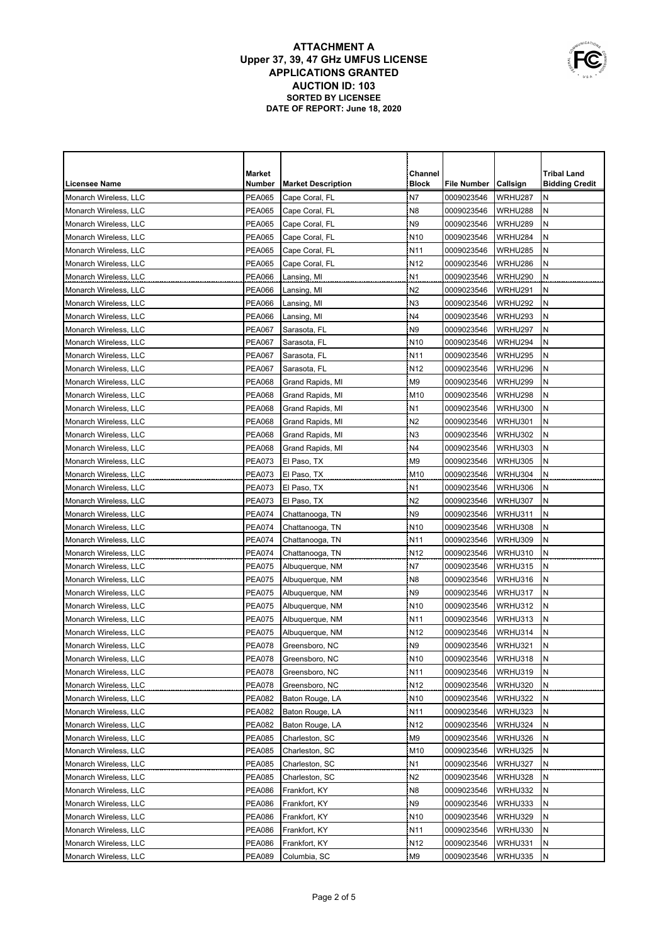|                       | Market        |                           | Channel         |             |                 | <b>Tribal Land</b>    |
|-----------------------|---------------|---------------------------|-----------------|-------------|-----------------|-----------------------|
| <b>Licensee Name</b>  | Number        | <b>Market Description</b> | <b>Block</b>    | File Number | <b>Callsign</b> | <b>Bidding Credit</b> |
| Monarch Wireless, LLC | <b>PEA065</b> | Cape Coral, FL            | N7              | 0009023546  | WRHU287         | Ν                     |
| Monarch Wireless, LLC | <b>PEA065</b> | Cape Coral, FL            | N <sub>8</sub>  | 0009023546  | WRHU288         | N                     |
| Monarch Wireless, LLC | <b>PEA065</b> | Cape Coral, FL            | N <sub>9</sub>  | 0009023546  | WRHU289         | Ν                     |
| Monarch Wireless, LLC | <b>PEA065</b> | Cape Coral, FL            | N <sub>10</sub> | 0009023546  | WRHU284         | N                     |
| Monarch Wireless, LLC | <b>PEA065</b> | Cape Coral, FL            | N <sub>11</sub> | 0009023546  | WRHU285         | Ν                     |
| Monarch Wireless, LLC | <b>PEA065</b> | Cape Coral, FL            | N <sub>12</sub> | 0009023546  | WRHU286         | N                     |
| Monarch Wireless, LLC | <b>PEA066</b> | Lansing, MI               | N <sub>1</sub>  | 0009023546  | WRHU290         | N                     |
| Monarch Wireless, LLC | <b>PEA066</b> | Lansing, MI               | N <sub>2</sub>  | 0009023546  | WRHU291         | N                     |
| Monarch Wireless, LLC | <b>PEA066</b> | Lansing, MI               | N <sub>3</sub>  | 0009023546  | WRHU292         | N                     |
| Monarch Wireless, LLC | <b>PEA066</b> | Lansing, MI               | N4              | 0009023546  | WRHU293         | N                     |
| Monarch Wireless, LLC | <b>PEA067</b> | Sarasota, FL              | N <sub>9</sub>  | 0009023546  | WRHU297         | N                     |
| Monarch Wireless, LLC | <b>PEA067</b> | Sarasota, FL              | N <sub>10</sub> | 0009023546  | WRHU294         | N                     |
| Monarch Wireless, LLC | <b>PEA067</b> | Sarasota, FL              | N <sub>11</sub> | 0009023546  | WRHU295         | N                     |
| Monarch Wireless, LLC | <b>PEA067</b> | Sarasota, FL              | N <sub>12</sub> | 0009023546  | WRHU296         | N                     |
| Monarch Wireless, LLC | <b>PEA068</b> | Grand Rapids, MI          | M <sub>9</sub>  | 0009023546  | WRHU299         | N                     |
| Monarch Wireless, LLC | <b>PEA068</b> | Grand Rapids, MI          | M10             | 0009023546  | WRHU298         | Ν                     |
| Monarch Wireless, LLC | <b>PEA068</b> | Grand Rapids, MI          | N1              | 0009023546  | <b>WRHU300</b>  | Ν                     |
| Monarch Wireless, LLC | <b>PEA068</b> | Grand Rapids, MI          | N <sub>2</sub>  | 0009023546  | WRHU301         | N                     |
| Monarch Wireless, LLC | <b>PEA068</b> | Grand Rapids, MI          | N <sub>3</sub>  | 0009023546  | WRHU302         | N                     |
| Monarch Wireless, LLC | <b>PEA068</b> | Grand Rapids, MI          | N4              | 0009023546  | WRHU303         | N                     |
| Monarch Wireless, LLC | PEA073        | El Paso, TX               | M <sub>9</sub>  | 0009023546  | WRHU305         | Ν                     |
| Monarch Wireless, LLC | PEA073        | El Paso, TX               | M10             | 0009023546  | WRHU304         | Ν                     |
| Monarch Wireless, LLC | <b>PEA073</b> | El Paso, TX               | N <sub>1</sub>  | 0009023546  | WRHU306         | N                     |
| Monarch Wireless, LLC | <b>PEA073</b> | El Paso, TX               | N2              | 0009023546  | WRHU307         | Ν                     |
| Monarch Wireless, LLC | <b>PEA074</b> | Chattanooga, TN           | N <sub>9</sub>  | 0009023546  | WRHU311         | N                     |
| Monarch Wireless, LLC | <b>PEA074</b> | Chattanooga, TN           | N <sub>10</sub> | 0009023546  | WRHU308         | Ν                     |
| Monarch Wireless, LLC | <b>PEA074</b> | Chattanooga, TN           | N <sub>11</sub> | 0009023546  | WRHU309         | N                     |
| Monarch Wireless, LLC | <b>PEA074</b> | Chattanooga, TN           | N <sub>12</sub> | 0009023546  | WRHU310         | Ν                     |
| Monarch Wireless, LLC | <b>PEA075</b> | Albuquerque, NM           | N7              | 0009023546  | WRHU315         | N                     |
| Monarch Wireless, LLC | <b>PEA075</b> | Albuquerque, NM           | N <sub>8</sub>  | 0009023546  | WRHU316         | N                     |
| Monarch Wireless, LLC | <b>PEA075</b> | Albuquerque, NM           | N <sub>9</sub>  | 0009023546  | WRHU317         | N                     |
| Monarch Wireless, LLC | <b>PEA075</b> | Albuquerque, NM           | N <sub>10</sub> | 0009023546  | WRHU312         | Ν                     |
| Monarch Wireless, LLC | <b>PEA075</b> | Albuquerque, NM           | N <sub>11</sub> | 0009023546  | WRHU313         | N                     |
| Monarch Wireless, LLC | <b>PEA075</b> | Albuquerque, NM           | N <sub>12</sub> | 0009023546  | WRHU314         | N                     |
| Monarch Wireless, LLC | <b>PEA078</b> | Greensboro, NC            | N <sub>9</sub>  | 0009023546  | WRHU321         | N                     |
| Monarch Wireless, LLC | <b>PEA078</b> | Greensboro, NC            | N <sub>10</sub> | 0009023546  | WRHU318         | N                     |
| Monarch Wireless, LLC | <b>PEA078</b> | Greensboro, NC            | N <sub>11</sub> | 0009023546  | WRHU319         | N                     |
| Monarch Wireless, LLC | PEA078        | Greensboro, NC            | N <sub>12</sub> | 0009023546  | WRHU320         | N                     |
| Monarch Wireless, LLC | <b>PEA082</b> | Baton Rouge, LA           | N <sub>10</sub> | 0009023546  | WRHU322         | N                     |
| Monarch Wireless, LLC | <b>PEA082</b> | Baton Rouge, LA           | N <sub>11</sub> | 0009023546  | WRHU323         | N                     |
| Monarch Wireless, LLC | <b>PEA082</b> | Baton Rouge, LA           | N <sub>12</sub> | 0009023546  | WRHU324         | Ν                     |
| Monarch Wireless, LLC | <b>PEA085</b> | Charleston, SC            | M9              | 0009023546  | WRHU326         | Ν                     |
| Monarch Wireless, LLC | <b>PEA085</b> | Charleston, SC            | M10             | 0009023546  | WRHU325         | Ν                     |
| Monarch Wireless, LLC | PEA085        | Charleston, SC            | N <sub>1</sub>  | 0009023546  | WRHU327         | Ν                     |
| Monarch Wireless, LLC | <b>PEA085</b> | Charleston, SC            | N <sub>2</sub>  | 0009023546  | WRHU328         | Ν                     |
| Monarch Wireless, LLC | <b>PEA086</b> | Frankfort, KY             | N8              | 0009023546  | WRHU332         | Ν                     |
| Monarch Wireless, LLC | <b>PEA086</b> | Frankfort, KY             | N9              | 0009023546  | WRHU333         | N                     |
| Monarch Wireless, LLC | PEA086        | Frankfort, KY             | N <sub>10</sub> | 0009023546  | WRHU329         | N                     |
| Monarch Wireless, LLC | PEA086        | Frankfort, KY             | N11             | 0009023546  | WRHU330         | Ν                     |
| Monarch Wireless, LLC | <b>PEA086</b> | Frankfort, KY             | N <sub>12</sub> | 0009023546  | WRHU331         | N                     |
| Monarch Wireless, LLC | <b>PEA089</b> | Columbia, SC              | M9              | 0009023546  | WRHU335         | N                     |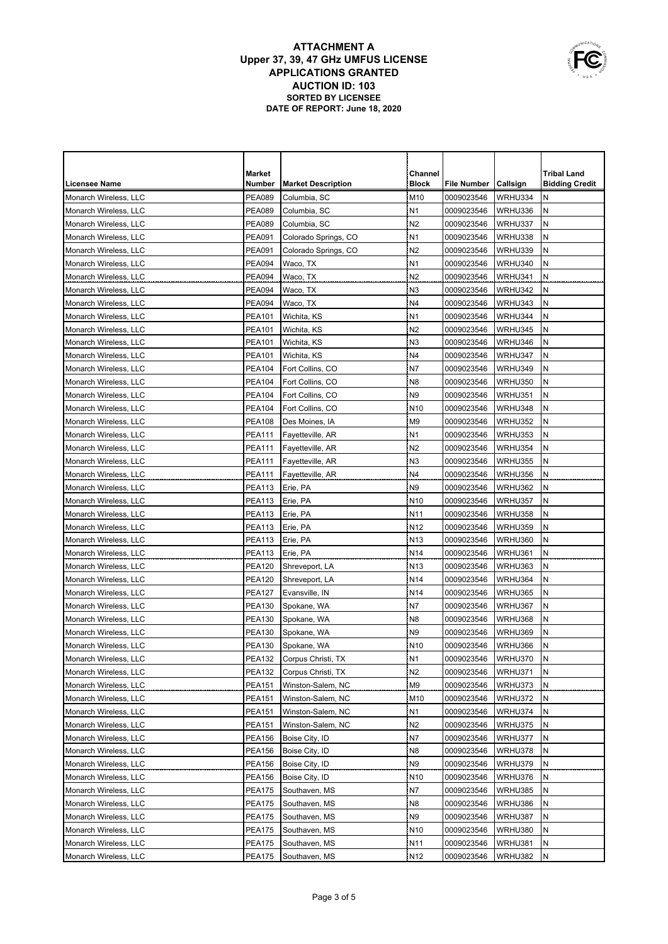| <b>Tribal Land</b><br>Market<br>Channel<br><b>Block</b><br><b>Licensee Name</b><br>Number<br><b>Market Description</b><br>File Number<br><b>Callsign</b><br><b>Bidding Credit</b><br>Monarch Wireless, LLC<br><b>PEA089</b><br>Columbia, SC<br>M10<br>WRHU334<br>0009023546<br>Ν<br>N<br><b>PEA089</b><br>Columbia, SC<br>N <sub>1</sub><br>WRHU336<br>Monarch Wireless, LLC<br>0009023546<br>N <sub>2</sub><br><b>PEA089</b><br>Columbia, SC<br>WRHU337<br>N<br>Monarch Wireless, LLC<br>0009023546<br><b>PEA091</b><br>N1<br>WRHU338<br>Ν<br>Monarch Wireless, LLC<br>Colorado Springs, CO<br>0009023546<br>N <sub>2</sub><br><b>PEA091</b><br>WRHU339<br>Ν<br>Monarch Wireless, LLC<br>Colorado Springs, CO<br>0009023546<br>N <sub>1</sub><br><b>PEA094</b><br>WRHU340<br>N<br>Monarch Wireless, LLC<br>Waco, TX<br>0009023546<br>N <sub>2</sub><br><b>PEA094</b><br>WRHU341<br>N<br>Monarch Wireless, LLC<br>Waco, TX<br>0009023546<br>N<br><b>PEA094</b><br>N <sub>3</sub><br>WRHU342<br>Monarch Wireless, LLC<br>Waco, TX<br>0009023546<br>N<br><b>PEA094</b><br>Waco, TX<br>N4<br>WRHU343<br>Monarch Wireless, LLC<br>0009023546<br>N<br><b>PEA101</b><br>Wichita, KS<br>N1<br>WRHU344<br>Monarch Wireless, LLC<br>0009023546<br>N<br><b>PEA101</b><br>N <sub>2</sub><br>0009023546<br>WRHU345<br>Monarch Wireless, LLC<br>Wichita, KS<br>N<br><b>PEA101</b><br>N <sub>3</sub><br>0009023546<br>WRHU346<br>Monarch Wireless, LLC<br>Wichita, KS<br>N<br><b>PEA101</b><br>N4<br>0009023546<br>WRHU347<br>Monarch Wireless, LLC<br>Wichita, KS<br>N<br><b>PEA104</b><br>N7<br>0009023546<br>WRHU349<br>Monarch Wireless, LLC<br>Fort Collins, CO<br>N<br><b>PEA104</b><br>Fort Collins, CO<br>N <sub>8</sub><br>0009023546<br>WRHU350<br>Monarch Wireless, LLC<br>Ν<br><b>PEA104</b><br>N9<br>0009023546<br>WRHU351<br>Monarch Wireless, LLC<br>Fort Collins, CO<br><b>PEA104</b><br>N <sub>10</sub><br>0009023546<br>WRHU348<br>Ν<br>Monarch Wireless, LLC<br>Fort Collins, CO<br><b>PEA108</b><br>M <sub>9</sub><br>0009023546<br>WRHU352<br>Ν<br>Monarch Wireless, LLC<br>Des Moines, IA<br>N <sub>1</sub><br>WRHU353<br>Ν<br>Monarch Wireless, LLC<br><b>PEA111</b><br>Fayetteville, AR<br>0009023546<br>N<br>N2<br>Monarch Wireless, LLC<br>PEA111<br>Fayetteville, AR<br>0009023546<br>WRHU354<br><b>PEA111</b><br>N3<br>N<br>Monarch Wireless, LLC<br>Fayetteville, AR<br>0009023546<br>WRHU355<br>N4<br>N<br><b>PEA111</b><br>Monarch Wireless, LLC<br>Fayetteville, AR<br>0009023546<br>WRHU356<br>N<br><b>PEA113</b><br>N <sub>9</sub><br>Monarch Wireless, LLC<br>Erie, PA<br>0009023546<br>WRHU362<br>Ν<br><b>PEA113</b><br>N <sub>10</sub><br>Monarch Wireless, LLC<br>Erie, PA<br>0009023546<br>WRHU357<br><b>PEA113</b><br>N <sub>11</sub><br>Ν<br>Monarch Wireless, LLC<br>Erie, PA<br>0009023546<br>WRHU358<br><b>PEA113</b><br>N <sub>12</sub><br>Ν<br>Monarch Wireless, LLC<br>Erie, PA<br>0009023546<br>WRHU359<br><b>PEA113</b><br>N<br>Monarch Wireless, LLC<br>Erie, PA<br>N <sub>13</sub><br>0009023546<br>WRHU360<br>Ν<br>Monarch Wireless, LLC<br><b>PEA113</b><br>Erie, PA<br>N14<br>0009023546<br>WRHU361<br><b>PEA120</b><br>N <sub>13</sub><br>WRHU363<br>Ν<br>Monarch Wireless, LLC<br>Shreveport, LA<br>0009023546<br><b>PEA120</b><br>N <sub>14</sub><br>WRHU364<br>Ν<br>Monarch Wireless, LLC<br>Shreveport, LA<br>0009023546<br><b>PEA127</b><br>N <sub>14</sub><br>WRHU365<br>N<br>Evansville, IN<br>0009023546<br>Monarch Wireless, LLC<br>N7<br>Ν<br>Monarch Wireless, LLC<br><b>PEA130</b><br>Spokane, WA<br>0009023546<br>WRHU367<br>N <sub>8</sub><br>N<br>Monarch Wireless, LLC<br><b>PEA130</b><br>Spokane, WA<br>0009023546<br>WRHU368<br>N<br>N <sub>9</sub><br>WRHU369<br>Monarch Wireless, LLC<br><b>PEA130</b><br>Spokane, WA<br>0009023546<br>Ν<br><b>PEA130</b><br>N <sub>10</sub><br>0009023546<br>WRHU366<br>Monarch Wireless, LLC<br>Spokane, WA<br><b>PEA132</b><br>N <sub>1</sub><br>0009023546<br>WRHU370<br>Monarch Wireless, LLC<br>Corpus Christi, TX<br>N<br><b>PEA132</b><br>N<br>Corpus Christi, TX<br>N <sub>2</sub><br>0009023546<br>WRHU371<br>Monarch Wireless, LLC<br>Monarch Wireless, LLC<br>PEA151<br>Winston-Salem, NC<br>M9<br>0009023546<br>WRHU373<br>N<br>Monarch Wireless, LLC<br><b>PEA151</b><br>Winston-Salem, NC<br>M10<br>0009023546<br>WRHU372<br>N<br><b>PEA151</b><br>Winston-Salem, NC<br>N <sub>1</sub><br>0009023546<br>WRHU374<br>N<br>Monarch Wireless, LLC<br><b>PEA151</b><br>Winston-Salem, NC<br>N <sub>2</sub><br>0009023546<br>WRHU375<br>Ν<br>Monarch Wireless, LLC<br>N7<br>0009023546<br>WRHU377<br>Ν<br>Monarch Wireless, LLC<br><b>PEA156</b><br>Boise City, ID<br>Boise City, ID<br>N <sub>8</sub><br>0009023546<br>WRHU378<br>Ν<br>Monarch Wireless, LLC<br>PEA156<br>N9<br>Ν<br>Monarch Wireless, LLC<br>PEA156<br>Boise City, ID<br>0009023546<br>WRHU379 |  |  |  |  |
|-------------------------------------------------------------------------------------------------------------------------------------------------------------------------------------------------------------------------------------------------------------------------------------------------------------------------------------------------------------------------------------------------------------------------------------------------------------------------------------------------------------------------------------------------------------------------------------------------------------------------------------------------------------------------------------------------------------------------------------------------------------------------------------------------------------------------------------------------------------------------------------------------------------------------------------------------------------------------------------------------------------------------------------------------------------------------------------------------------------------------------------------------------------------------------------------------------------------------------------------------------------------------------------------------------------------------------------------------------------------------------------------------------------------------------------------------------------------------------------------------------------------------------------------------------------------------------------------------------------------------------------------------------------------------------------------------------------------------------------------------------------------------------------------------------------------------------------------------------------------------------------------------------------------------------------------------------------------------------------------------------------------------------------------------------------------------------------------------------------------------------------------------------------------------------------------------------------------------------------------------------------------------------------------------------------------------------------------------------------------------------------------------------------------------------------------------------------------------------------------------------------------------------------------------------------------------------------------------------------------------------------------------------------------------------------------------------------------------------------------------------------------------------------------------------------------------------------------------------------------------------------------------------------------------------------------------------------------------------------------------------------------------------------------------------------------------------------------------------------------------------------------------------------------------------------------------------------------------------------------------------------------------------------------------------------------------------------------------------------------------------------------------------------------------------------------------------------------------------------------------------------------------------------------------------------------------------------------------------------------------------------------------------------------------------------------------------------------------------------------------------------------------------------------------------------------------------------------------------------------------------------------------------------------------------------------------------------------------------------------------------------------------------------------------------------------------------------------------------------------------------------------------------------------------------------------------------------------------------------------------------------------------------------------------------------------------------------------------------------------------------------------------------------------------------------------------------------------------------------------------------------------------------------------------------------------------------------------------------------------------------------------------------------------------------------------------------------------------------------------------------------------------------------------------------------------------------------------------------------------------|--|--|--|--|
|                                                                                                                                                                                                                                                                                                                                                                                                                                                                                                                                                                                                                                                                                                                                                                                                                                                                                                                                                                                                                                                                                                                                                                                                                                                                                                                                                                                                                                                                                                                                                                                                                                                                                                                                                                                                                                                                                                                                                                                                                                                                                                                                                                                                                                                                                                                                                                                                                                                                                                                                                                                                                                                                                                                                                                                                                                                                                                                                                                                                                                                                                                                                                                                                                                                                                                                                                                                                                                                                                                                                                                                                                                                                                                                                                                                                                                                                                                                                                                                                                                                                                                                                                                                                                                                                                                                                                                                                                                                                                                                                                                                                                                                                                                                                                                                                                                                                         |  |  |  |  |
|                                                                                                                                                                                                                                                                                                                                                                                                                                                                                                                                                                                                                                                                                                                                                                                                                                                                                                                                                                                                                                                                                                                                                                                                                                                                                                                                                                                                                                                                                                                                                                                                                                                                                                                                                                                                                                                                                                                                                                                                                                                                                                                                                                                                                                                                                                                                                                                                                                                                                                                                                                                                                                                                                                                                                                                                                                                                                                                                                                                                                                                                                                                                                                                                                                                                                                                                                                                                                                                                                                                                                                                                                                                                                                                                                                                                                                                                                                                                                                                                                                                                                                                                                                                                                                                                                                                                                                                                                                                                                                                                                                                                                                                                                                                                                                                                                                                                         |  |  |  |  |
|                                                                                                                                                                                                                                                                                                                                                                                                                                                                                                                                                                                                                                                                                                                                                                                                                                                                                                                                                                                                                                                                                                                                                                                                                                                                                                                                                                                                                                                                                                                                                                                                                                                                                                                                                                                                                                                                                                                                                                                                                                                                                                                                                                                                                                                                                                                                                                                                                                                                                                                                                                                                                                                                                                                                                                                                                                                                                                                                                                                                                                                                                                                                                                                                                                                                                                                                                                                                                                                                                                                                                                                                                                                                                                                                                                                                                                                                                                                                                                                                                                                                                                                                                                                                                                                                                                                                                                                                                                                                                                                                                                                                                                                                                                                                                                                                                                                                         |  |  |  |  |
|                                                                                                                                                                                                                                                                                                                                                                                                                                                                                                                                                                                                                                                                                                                                                                                                                                                                                                                                                                                                                                                                                                                                                                                                                                                                                                                                                                                                                                                                                                                                                                                                                                                                                                                                                                                                                                                                                                                                                                                                                                                                                                                                                                                                                                                                                                                                                                                                                                                                                                                                                                                                                                                                                                                                                                                                                                                                                                                                                                                                                                                                                                                                                                                                                                                                                                                                                                                                                                                                                                                                                                                                                                                                                                                                                                                                                                                                                                                                                                                                                                                                                                                                                                                                                                                                                                                                                                                                                                                                                                                                                                                                                                                                                                                                                                                                                                                                         |  |  |  |  |
|                                                                                                                                                                                                                                                                                                                                                                                                                                                                                                                                                                                                                                                                                                                                                                                                                                                                                                                                                                                                                                                                                                                                                                                                                                                                                                                                                                                                                                                                                                                                                                                                                                                                                                                                                                                                                                                                                                                                                                                                                                                                                                                                                                                                                                                                                                                                                                                                                                                                                                                                                                                                                                                                                                                                                                                                                                                                                                                                                                                                                                                                                                                                                                                                                                                                                                                                                                                                                                                                                                                                                                                                                                                                                                                                                                                                                                                                                                                                                                                                                                                                                                                                                                                                                                                                                                                                                                                                                                                                                                                                                                                                                                                                                                                                                                                                                                                                         |  |  |  |  |
|                                                                                                                                                                                                                                                                                                                                                                                                                                                                                                                                                                                                                                                                                                                                                                                                                                                                                                                                                                                                                                                                                                                                                                                                                                                                                                                                                                                                                                                                                                                                                                                                                                                                                                                                                                                                                                                                                                                                                                                                                                                                                                                                                                                                                                                                                                                                                                                                                                                                                                                                                                                                                                                                                                                                                                                                                                                                                                                                                                                                                                                                                                                                                                                                                                                                                                                                                                                                                                                                                                                                                                                                                                                                                                                                                                                                                                                                                                                                                                                                                                                                                                                                                                                                                                                                                                                                                                                                                                                                                                                                                                                                                                                                                                                                                                                                                                                                         |  |  |  |  |
|                                                                                                                                                                                                                                                                                                                                                                                                                                                                                                                                                                                                                                                                                                                                                                                                                                                                                                                                                                                                                                                                                                                                                                                                                                                                                                                                                                                                                                                                                                                                                                                                                                                                                                                                                                                                                                                                                                                                                                                                                                                                                                                                                                                                                                                                                                                                                                                                                                                                                                                                                                                                                                                                                                                                                                                                                                                                                                                                                                                                                                                                                                                                                                                                                                                                                                                                                                                                                                                                                                                                                                                                                                                                                                                                                                                                                                                                                                                                                                                                                                                                                                                                                                                                                                                                                                                                                                                                                                                                                                                                                                                                                                                                                                                                                                                                                                                                         |  |  |  |  |
|                                                                                                                                                                                                                                                                                                                                                                                                                                                                                                                                                                                                                                                                                                                                                                                                                                                                                                                                                                                                                                                                                                                                                                                                                                                                                                                                                                                                                                                                                                                                                                                                                                                                                                                                                                                                                                                                                                                                                                                                                                                                                                                                                                                                                                                                                                                                                                                                                                                                                                                                                                                                                                                                                                                                                                                                                                                                                                                                                                                                                                                                                                                                                                                                                                                                                                                                                                                                                                                                                                                                                                                                                                                                                                                                                                                                                                                                                                                                                                                                                                                                                                                                                                                                                                                                                                                                                                                                                                                                                                                                                                                                                                                                                                                                                                                                                                                                         |  |  |  |  |
|                                                                                                                                                                                                                                                                                                                                                                                                                                                                                                                                                                                                                                                                                                                                                                                                                                                                                                                                                                                                                                                                                                                                                                                                                                                                                                                                                                                                                                                                                                                                                                                                                                                                                                                                                                                                                                                                                                                                                                                                                                                                                                                                                                                                                                                                                                                                                                                                                                                                                                                                                                                                                                                                                                                                                                                                                                                                                                                                                                                                                                                                                                                                                                                                                                                                                                                                                                                                                                                                                                                                                                                                                                                                                                                                                                                                                                                                                                                                                                                                                                                                                                                                                                                                                                                                                                                                                                                                                                                                                                                                                                                                                                                                                                                                                                                                                                                                         |  |  |  |  |
|                                                                                                                                                                                                                                                                                                                                                                                                                                                                                                                                                                                                                                                                                                                                                                                                                                                                                                                                                                                                                                                                                                                                                                                                                                                                                                                                                                                                                                                                                                                                                                                                                                                                                                                                                                                                                                                                                                                                                                                                                                                                                                                                                                                                                                                                                                                                                                                                                                                                                                                                                                                                                                                                                                                                                                                                                                                                                                                                                                                                                                                                                                                                                                                                                                                                                                                                                                                                                                                                                                                                                                                                                                                                                                                                                                                                                                                                                                                                                                                                                                                                                                                                                                                                                                                                                                                                                                                                                                                                                                                                                                                                                                                                                                                                                                                                                                                                         |  |  |  |  |
|                                                                                                                                                                                                                                                                                                                                                                                                                                                                                                                                                                                                                                                                                                                                                                                                                                                                                                                                                                                                                                                                                                                                                                                                                                                                                                                                                                                                                                                                                                                                                                                                                                                                                                                                                                                                                                                                                                                                                                                                                                                                                                                                                                                                                                                                                                                                                                                                                                                                                                                                                                                                                                                                                                                                                                                                                                                                                                                                                                                                                                                                                                                                                                                                                                                                                                                                                                                                                                                                                                                                                                                                                                                                                                                                                                                                                                                                                                                                                                                                                                                                                                                                                                                                                                                                                                                                                                                                                                                                                                                                                                                                                                                                                                                                                                                                                                                                         |  |  |  |  |
|                                                                                                                                                                                                                                                                                                                                                                                                                                                                                                                                                                                                                                                                                                                                                                                                                                                                                                                                                                                                                                                                                                                                                                                                                                                                                                                                                                                                                                                                                                                                                                                                                                                                                                                                                                                                                                                                                                                                                                                                                                                                                                                                                                                                                                                                                                                                                                                                                                                                                                                                                                                                                                                                                                                                                                                                                                                                                                                                                                                                                                                                                                                                                                                                                                                                                                                                                                                                                                                                                                                                                                                                                                                                                                                                                                                                                                                                                                                                                                                                                                                                                                                                                                                                                                                                                                                                                                                                                                                                                                                                                                                                                                                                                                                                                                                                                                                                         |  |  |  |  |
|                                                                                                                                                                                                                                                                                                                                                                                                                                                                                                                                                                                                                                                                                                                                                                                                                                                                                                                                                                                                                                                                                                                                                                                                                                                                                                                                                                                                                                                                                                                                                                                                                                                                                                                                                                                                                                                                                                                                                                                                                                                                                                                                                                                                                                                                                                                                                                                                                                                                                                                                                                                                                                                                                                                                                                                                                                                                                                                                                                                                                                                                                                                                                                                                                                                                                                                                                                                                                                                                                                                                                                                                                                                                                                                                                                                                                                                                                                                                                                                                                                                                                                                                                                                                                                                                                                                                                                                                                                                                                                                                                                                                                                                                                                                                                                                                                                                                         |  |  |  |  |
|                                                                                                                                                                                                                                                                                                                                                                                                                                                                                                                                                                                                                                                                                                                                                                                                                                                                                                                                                                                                                                                                                                                                                                                                                                                                                                                                                                                                                                                                                                                                                                                                                                                                                                                                                                                                                                                                                                                                                                                                                                                                                                                                                                                                                                                                                                                                                                                                                                                                                                                                                                                                                                                                                                                                                                                                                                                                                                                                                                                                                                                                                                                                                                                                                                                                                                                                                                                                                                                                                                                                                                                                                                                                                                                                                                                                                                                                                                                                                                                                                                                                                                                                                                                                                                                                                                                                                                                                                                                                                                                                                                                                                                                                                                                                                                                                                                                                         |  |  |  |  |
|                                                                                                                                                                                                                                                                                                                                                                                                                                                                                                                                                                                                                                                                                                                                                                                                                                                                                                                                                                                                                                                                                                                                                                                                                                                                                                                                                                                                                                                                                                                                                                                                                                                                                                                                                                                                                                                                                                                                                                                                                                                                                                                                                                                                                                                                                                                                                                                                                                                                                                                                                                                                                                                                                                                                                                                                                                                                                                                                                                                                                                                                                                                                                                                                                                                                                                                                                                                                                                                                                                                                                                                                                                                                                                                                                                                                                                                                                                                                                                                                                                                                                                                                                                                                                                                                                                                                                                                                                                                                                                                                                                                                                                                                                                                                                                                                                                                                         |  |  |  |  |
|                                                                                                                                                                                                                                                                                                                                                                                                                                                                                                                                                                                                                                                                                                                                                                                                                                                                                                                                                                                                                                                                                                                                                                                                                                                                                                                                                                                                                                                                                                                                                                                                                                                                                                                                                                                                                                                                                                                                                                                                                                                                                                                                                                                                                                                                                                                                                                                                                                                                                                                                                                                                                                                                                                                                                                                                                                                                                                                                                                                                                                                                                                                                                                                                                                                                                                                                                                                                                                                                                                                                                                                                                                                                                                                                                                                                                                                                                                                                                                                                                                                                                                                                                                                                                                                                                                                                                                                                                                                                                                                                                                                                                                                                                                                                                                                                                                                                         |  |  |  |  |
|                                                                                                                                                                                                                                                                                                                                                                                                                                                                                                                                                                                                                                                                                                                                                                                                                                                                                                                                                                                                                                                                                                                                                                                                                                                                                                                                                                                                                                                                                                                                                                                                                                                                                                                                                                                                                                                                                                                                                                                                                                                                                                                                                                                                                                                                                                                                                                                                                                                                                                                                                                                                                                                                                                                                                                                                                                                                                                                                                                                                                                                                                                                                                                                                                                                                                                                                                                                                                                                                                                                                                                                                                                                                                                                                                                                                                                                                                                                                                                                                                                                                                                                                                                                                                                                                                                                                                                                                                                                                                                                                                                                                                                                                                                                                                                                                                                                                         |  |  |  |  |
|                                                                                                                                                                                                                                                                                                                                                                                                                                                                                                                                                                                                                                                                                                                                                                                                                                                                                                                                                                                                                                                                                                                                                                                                                                                                                                                                                                                                                                                                                                                                                                                                                                                                                                                                                                                                                                                                                                                                                                                                                                                                                                                                                                                                                                                                                                                                                                                                                                                                                                                                                                                                                                                                                                                                                                                                                                                                                                                                                                                                                                                                                                                                                                                                                                                                                                                                                                                                                                                                                                                                                                                                                                                                                                                                                                                                                                                                                                                                                                                                                                                                                                                                                                                                                                                                                                                                                                                                                                                                                                                                                                                                                                                                                                                                                                                                                                                                         |  |  |  |  |
|                                                                                                                                                                                                                                                                                                                                                                                                                                                                                                                                                                                                                                                                                                                                                                                                                                                                                                                                                                                                                                                                                                                                                                                                                                                                                                                                                                                                                                                                                                                                                                                                                                                                                                                                                                                                                                                                                                                                                                                                                                                                                                                                                                                                                                                                                                                                                                                                                                                                                                                                                                                                                                                                                                                                                                                                                                                                                                                                                                                                                                                                                                                                                                                                                                                                                                                                                                                                                                                                                                                                                                                                                                                                                                                                                                                                                                                                                                                                                                                                                                                                                                                                                                                                                                                                                                                                                                                                                                                                                                                                                                                                                                                                                                                                                                                                                                                                         |  |  |  |  |
|                                                                                                                                                                                                                                                                                                                                                                                                                                                                                                                                                                                                                                                                                                                                                                                                                                                                                                                                                                                                                                                                                                                                                                                                                                                                                                                                                                                                                                                                                                                                                                                                                                                                                                                                                                                                                                                                                                                                                                                                                                                                                                                                                                                                                                                                                                                                                                                                                                                                                                                                                                                                                                                                                                                                                                                                                                                                                                                                                                                                                                                                                                                                                                                                                                                                                                                                                                                                                                                                                                                                                                                                                                                                                                                                                                                                                                                                                                                                                                                                                                                                                                                                                                                                                                                                                                                                                                                                                                                                                                                                                                                                                                                                                                                                                                                                                                                                         |  |  |  |  |
|                                                                                                                                                                                                                                                                                                                                                                                                                                                                                                                                                                                                                                                                                                                                                                                                                                                                                                                                                                                                                                                                                                                                                                                                                                                                                                                                                                                                                                                                                                                                                                                                                                                                                                                                                                                                                                                                                                                                                                                                                                                                                                                                                                                                                                                                                                                                                                                                                                                                                                                                                                                                                                                                                                                                                                                                                                                                                                                                                                                                                                                                                                                                                                                                                                                                                                                                                                                                                                                                                                                                                                                                                                                                                                                                                                                                                                                                                                                                                                                                                                                                                                                                                                                                                                                                                                                                                                                                                                                                                                                                                                                                                                                                                                                                                                                                                                                                         |  |  |  |  |
|                                                                                                                                                                                                                                                                                                                                                                                                                                                                                                                                                                                                                                                                                                                                                                                                                                                                                                                                                                                                                                                                                                                                                                                                                                                                                                                                                                                                                                                                                                                                                                                                                                                                                                                                                                                                                                                                                                                                                                                                                                                                                                                                                                                                                                                                                                                                                                                                                                                                                                                                                                                                                                                                                                                                                                                                                                                                                                                                                                                                                                                                                                                                                                                                                                                                                                                                                                                                                                                                                                                                                                                                                                                                                                                                                                                                                                                                                                                                                                                                                                                                                                                                                                                                                                                                                                                                                                                                                                                                                                                                                                                                                                                                                                                                                                                                                                                                         |  |  |  |  |
|                                                                                                                                                                                                                                                                                                                                                                                                                                                                                                                                                                                                                                                                                                                                                                                                                                                                                                                                                                                                                                                                                                                                                                                                                                                                                                                                                                                                                                                                                                                                                                                                                                                                                                                                                                                                                                                                                                                                                                                                                                                                                                                                                                                                                                                                                                                                                                                                                                                                                                                                                                                                                                                                                                                                                                                                                                                                                                                                                                                                                                                                                                                                                                                                                                                                                                                                                                                                                                                                                                                                                                                                                                                                                                                                                                                                                                                                                                                                                                                                                                                                                                                                                                                                                                                                                                                                                                                                                                                                                                                                                                                                                                                                                                                                                                                                                                                                         |  |  |  |  |
|                                                                                                                                                                                                                                                                                                                                                                                                                                                                                                                                                                                                                                                                                                                                                                                                                                                                                                                                                                                                                                                                                                                                                                                                                                                                                                                                                                                                                                                                                                                                                                                                                                                                                                                                                                                                                                                                                                                                                                                                                                                                                                                                                                                                                                                                                                                                                                                                                                                                                                                                                                                                                                                                                                                                                                                                                                                                                                                                                                                                                                                                                                                                                                                                                                                                                                                                                                                                                                                                                                                                                                                                                                                                                                                                                                                                                                                                                                                                                                                                                                                                                                                                                                                                                                                                                                                                                                                                                                                                                                                                                                                                                                                                                                                                                                                                                                                                         |  |  |  |  |
|                                                                                                                                                                                                                                                                                                                                                                                                                                                                                                                                                                                                                                                                                                                                                                                                                                                                                                                                                                                                                                                                                                                                                                                                                                                                                                                                                                                                                                                                                                                                                                                                                                                                                                                                                                                                                                                                                                                                                                                                                                                                                                                                                                                                                                                                                                                                                                                                                                                                                                                                                                                                                                                                                                                                                                                                                                                                                                                                                                                                                                                                                                                                                                                                                                                                                                                                                                                                                                                                                                                                                                                                                                                                                                                                                                                                                                                                                                                                                                                                                                                                                                                                                                                                                                                                                                                                                                                                                                                                                                                                                                                                                                                                                                                                                                                                                                                                         |  |  |  |  |
|                                                                                                                                                                                                                                                                                                                                                                                                                                                                                                                                                                                                                                                                                                                                                                                                                                                                                                                                                                                                                                                                                                                                                                                                                                                                                                                                                                                                                                                                                                                                                                                                                                                                                                                                                                                                                                                                                                                                                                                                                                                                                                                                                                                                                                                                                                                                                                                                                                                                                                                                                                                                                                                                                                                                                                                                                                                                                                                                                                                                                                                                                                                                                                                                                                                                                                                                                                                                                                                                                                                                                                                                                                                                                                                                                                                                                                                                                                                                                                                                                                                                                                                                                                                                                                                                                                                                                                                                                                                                                                                                                                                                                                                                                                                                                                                                                                                                         |  |  |  |  |
|                                                                                                                                                                                                                                                                                                                                                                                                                                                                                                                                                                                                                                                                                                                                                                                                                                                                                                                                                                                                                                                                                                                                                                                                                                                                                                                                                                                                                                                                                                                                                                                                                                                                                                                                                                                                                                                                                                                                                                                                                                                                                                                                                                                                                                                                                                                                                                                                                                                                                                                                                                                                                                                                                                                                                                                                                                                                                                                                                                                                                                                                                                                                                                                                                                                                                                                                                                                                                                                                                                                                                                                                                                                                                                                                                                                                                                                                                                                                                                                                                                                                                                                                                                                                                                                                                                                                                                                                                                                                                                                                                                                                                                                                                                                                                                                                                                                                         |  |  |  |  |
|                                                                                                                                                                                                                                                                                                                                                                                                                                                                                                                                                                                                                                                                                                                                                                                                                                                                                                                                                                                                                                                                                                                                                                                                                                                                                                                                                                                                                                                                                                                                                                                                                                                                                                                                                                                                                                                                                                                                                                                                                                                                                                                                                                                                                                                                                                                                                                                                                                                                                                                                                                                                                                                                                                                                                                                                                                                                                                                                                                                                                                                                                                                                                                                                                                                                                                                                                                                                                                                                                                                                                                                                                                                                                                                                                                                                                                                                                                                                                                                                                                                                                                                                                                                                                                                                                                                                                                                                                                                                                                                                                                                                                                                                                                                                                                                                                                                                         |  |  |  |  |
|                                                                                                                                                                                                                                                                                                                                                                                                                                                                                                                                                                                                                                                                                                                                                                                                                                                                                                                                                                                                                                                                                                                                                                                                                                                                                                                                                                                                                                                                                                                                                                                                                                                                                                                                                                                                                                                                                                                                                                                                                                                                                                                                                                                                                                                                                                                                                                                                                                                                                                                                                                                                                                                                                                                                                                                                                                                                                                                                                                                                                                                                                                                                                                                                                                                                                                                                                                                                                                                                                                                                                                                                                                                                                                                                                                                                                                                                                                                                                                                                                                                                                                                                                                                                                                                                                                                                                                                                                                                                                                                                                                                                                                                                                                                                                                                                                                                                         |  |  |  |  |
|                                                                                                                                                                                                                                                                                                                                                                                                                                                                                                                                                                                                                                                                                                                                                                                                                                                                                                                                                                                                                                                                                                                                                                                                                                                                                                                                                                                                                                                                                                                                                                                                                                                                                                                                                                                                                                                                                                                                                                                                                                                                                                                                                                                                                                                                                                                                                                                                                                                                                                                                                                                                                                                                                                                                                                                                                                                                                                                                                                                                                                                                                                                                                                                                                                                                                                                                                                                                                                                                                                                                                                                                                                                                                                                                                                                                                                                                                                                                                                                                                                                                                                                                                                                                                                                                                                                                                                                                                                                                                                                                                                                                                                                                                                                                                                                                                                                                         |  |  |  |  |
|                                                                                                                                                                                                                                                                                                                                                                                                                                                                                                                                                                                                                                                                                                                                                                                                                                                                                                                                                                                                                                                                                                                                                                                                                                                                                                                                                                                                                                                                                                                                                                                                                                                                                                                                                                                                                                                                                                                                                                                                                                                                                                                                                                                                                                                                                                                                                                                                                                                                                                                                                                                                                                                                                                                                                                                                                                                                                                                                                                                                                                                                                                                                                                                                                                                                                                                                                                                                                                                                                                                                                                                                                                                                                                                                                                                                                                                                                                                                                                                                                                                                                                                                                                                                                                                                                                                                                                                                                                                                                                                                                                                                                                                                                                                                                                                                                                                                         |  |  |  |  |
|                                                                                                                                                                                                                                                                                                                                                                                                                                                                                                                                                                                                                                                                                                                                                                                                                                                                                                                                                                                                                                                                                                                                                                                                                                                                                                                                                                                                                                                                                                                                                                                                                                                                                                                                                                                                                                                                                                                                                                                                                                                                                                                                                                                                                                                                                                                                                                                                                                                                                                                                                                                                                                                                                                                                                                                                                                                                                                                                                                                                                                                                                                                                                                                                                                                                                                                                                                                                                                                                                                                                                                                                                                                                                                                                                                                                                                                                                                                                                                                                                                                                                                                                                                                                                                                                                                                                                                                                                                                                                                                                                                                                                                                                                                                                                                                                                                                                         |  |  |  |  |
|                                                                                                                                                                                                                                                                                                                                                                                                                                                                                                                                                                                                                                                                                                                                                                                                                                                                                                                                                                                                                                                                                                                                                                                                                                                                                                                                                                                                                                                                                                                                                                                                                                                                                                                                                                                                                                                                                                                                                                                                                                                                                                                                                                                                                                                                                                                                                                                                                                                                                                                                                                                                                                                                                                                                                                                                                                                                                                                                                                                                                                                                                                                                                                                                                                                                                                                                                                                                                                                                                                                                                                                                                                                                                                                                                                                                                                                                                                                                                                                                                                                                                                                                                                                                                                                                                                                                                                                                                                                                                                                                                                                                                                                                                                                                                                                                                                                                         |  |  |  |  |
|                                                                                                                                                                                                                                                                                                                                                                                                                                                                                                                                                                                                                                                                                                                                                                                                                                                                                                                                                                                                                                                                                                                                                                                                                                                                                                                                                                                                                                                                                                                                                                                                                                                                                                                                                                                                                                                                                                                                                                                                                                                                                                                                                                                                                                                                                                                                                                                                                                                                                                                                                                                                                                                                                                                                                                                                                                                                                                                                                                                                                                                                                                                                                                                                                                                                                                                                                                                                                                                                                                                                                                                                                                                                                                                                                                                                                                                                                                                                                                                                                                                                                                                                                                                                                                                                                                                                                                                                                                                                                                                                                                                                                                                                                                                                                                                                                                                                         |  |  |  |  |
|                                                                                                                                                                                                                                                                                                                                                                                                                                                                                                                                                                                                                                                                                                                                                                                                                                                                                                                                                                                                                                                                                                                                                                                                                                                                                                                                                                                                                                                                                                                                                                                                                                                                                                                                                                                                                                                                                                                                                                                                                                                                                                                                                                                                                                                                                                                                                                                                                                                                                                                                                                                                                                                                                                                                                                                                                                                                                                                                                                                                                                                                                                                                                                                                                                                                                                                                                                                                                                                                                                                                                                                                                                                                                                                                                                                                                                                                                                                                                                                                                                                                                                                                                                                                                                                                                                                                                                                                                                                                                                                                                                                                                                                                                                                                                                                                                                                                         |  |  |  |  |
|                                                                                                                                                                                                                                                                                                                                                                                                                                                                                                                                                                                                                                                                                                                                                                                                                                                                                                                                                                                                                                                                                                                                                                                                                                                                                                                                                                                                                                                                                                                                                                                                                                                                                                                                                                                                                                                                                                                                                                                                                                                                                                                                                                                                                                                                                                                                                                                                                                                                                                                                                                                                                                                                                                                                                                                                                                                                                                                                                                                                                                                                                                                                                                                                                                                                                                                                                                                                                                                                                                                                                                                                                                                                                                                                                                                                                                                                                                                                                                                                                                                                                                                                                                                                                                                                                                                                                                                                                                                                                                                                                                                                                                                                                                                                                                                                                                                                         |  |  |  |  |
|                                                                                                                                                                                                                                                                                                                                                                                                                                                                                                                                                                                                                                                                                                                                                                                                                                                                                                                                                                                                                                                                                                                                                                                                                                                                                                                                                                                                                                                                                                                                                                                                                                                                                                                                                                                                                                                                                                                                                                                                                                                                                                                                                                                                                                                                                                                                                                                                                                                                                                                                                                                                                                                                                                                                                                                                                                                                                                                                                                                                                                                                                                                                                                                                                                                                                                                                                                                                                                                                                                                                                                                                                                                                                                                                                                                                                                                                                                                                                                                                                                                                                                                                                                                                                                                                                                                                                                                                                                                                                                                                                                                                                                                                                                                                                                                                                                                                         |  |  |  |  |
|                                                                                                                                                                                                                                                                                                                                                                                                                                                                                                                                                                                                                                                                                                                                                                                                                                                                                                                                                                                                                                                                                                                                                                                                                                                                                                                                                                                                                                                                                                                                                                                                                                                                                                                                                                                                                                                                                                                                                                                                                                                                                                                                                                                                                                                                                                                                                                                                                                                                                                                                                                                                                                                                                                                                                                                                                                                                                                                                                                                                                                                                                                                                                                                                                                                                                                                                                                                                                                                                                                                                                                                                                                                                                                                                                                                                                                                                                                                                                                                                                                                                                                                                                                                                                                                                                                                                                                                                                                                                                                                                                                                                                                                                                                                                                                                                                                                                         |  |  |  |  |
|                                                                                                                                                                                                                                                                                                                                                                                                                                                                                                                                                                                                                                                                                                                                                                                                                                                                                                                                                                                                                                                                                                                                                                                                                                                                                                                                                                                                                                                                                                                                                                                                                                                                                                                                                                                                                                                                                                                                                                                                                                                                                                                                                                                                                                                                                                                                                                                                                                                                                                                                                                                                                                                                                                                                                                                                                                                                                                                                                                                                                                                                                                                                                                                                                                                                                                                                                                                                                                                                                                                                                                                                                                                                                                                                                                                                                                                                                                                                                                                                                                                                                                                                                                                                                                                                                                                                                                                                                                                                                                                                                                                                                                                                                                                                                                                                                                                                         |  |  |  |  |
|                                                                                                                                                                                                                                                                                                                                                                                                                                                                                                                                                                                                                                                                                                                                                                                                                                                                                                                                                                                                                                                                                                                                                                                                                                                                                                                                                                                                                                                                                                                                                                                                                                                                                                                                                                                                                                                                                                                                                                                                                                                                                                                                                                                                                                                                                                                                                                                                                                                                                                                                                                                                                                                                                                                                                                                                                                                                                                                                                                                                                                                                                                                                                                                                                                                                                                                                                                                                                                                                                                                                                                                                                                                                                                                                                                                                                                                                                                                                                                                                                                                                                                                                                                                                                                                                                                                                                                                                                                                                                                                                                                                                                                                                                                                                                                                                                                                                         |  |  |  |  |
|                                                                                                                                                                                                                                                                                                                                                                                                                                                                                                                                                                                                                                                                                                                                                                                                                                                                                                                                                                                                                                                                                                                                                                                                                                                                                                                                                                                                                                                                                                                                                                                                                                                                                                                                                                                                                                                                                                                                                                                                                                                                                                                                                                                                                                                                                                                                                                                                                                                                                                                                                                                                                                                                                                                                                                                                                                                                                                                                                                                                                                                                                                                                                                                                                                                                                                                                                                                                                                                                                                                                                                                                                                                                                                                                                                                                                                                                                                                                                                                                                                                                                                                                                                                                                                                                                                                                                                                                                                                                                                                                                                                                                                                                                                                                                                                                                                                                         |  |  |  |  |
|                                                                                                                                                                                                                                                                                                                                                                                                                                                                                                                                                                                                                                                                                                                                                                                                                                                                                                                                                                                                                                                                                                                                                                                                                                                                                                                                                                                                                                                                                                                                                                                                                                                                                                                                                                                                                                                                                                                                                                                                                                                                                                                                                                                                                                                                                                                                                                                                                                                                                                                                                                                                                                                                                                                                                                                                                                                                                                                                                                                                                                                                                                                                                                                                                                                                                                                                                                                                                                                                                                                                                                                                                                                                                                                                                                                                                                                                                                                                                                                                                                                                                                                                                                                                                                                                                                                                                                                                                                                                                                                                                                                                                                                                                                                                                                                                                                                                         |  |  |  |  |
|                                                                                                                                                                                                                                                                                                                                                                                                                                                                                                                                                                                                                                                                                                                                                                                                                                                                                                                                                                                                                                                                                                                                                                                                                                                                                                                                                                                                                                                                                                                                                                                                                                                                                                                                                                                                                                                                                                                                                                                                                                                                                                                                                                                                                                                                                                                                                                                                                                                                                                                                                                                                                                                                                                                                                                                                                                                                                                                                                                                                                                                                                                                                                                                                                                                                                                                                                                                                                                                                                                                                                                                                                                                                                                                                                                                                                                                                                                                                                                                                                                                                                                                                                                                                                                                                                                                                                                                                                                                                                                                                                                                                                                                                                                                                                                                                                                                                         |  |  |  |  |
|                                                                                                                                                                                                                                                                                                                                                                                                                                                                                                                                                                                                                                                                                                                                                                                                                                                                                                                                                                                                                                                                                                                                                                                                                                                                                                                                                                                                                                                                                                                                                                                                                                                                                                                                                                                                                                                                                                                                                                                                                                                                                                                                                                                                                                                                                                                                                                                                                                                                                                                                                                                                                                                                                                                                                                                                                                                                                                                                                                                                                                                                                                                                                                                                                                                                                                                                                                                                                                                                                                                                                                                                                                                                                                                                                                                                                                                                                                                                                                                                                                                                                                                                                                                                                                                                                                                                                                                                                                                                                                                                                                                                                                                                                                                                                                                                                                                                         |  |  |  |  |
|                                                                                                                                                                                                                                                                                                                                                                                                                                                                                                                                                                                                                                                                                                                                                                                                                                                                                                                                                                                                                                                                                                                                                                                                                                                                                                                                                                                                                                                                                                                                                                                                                                                                                                                                                                                                                                                                                                                                                                                                                                                                                                                                                                                                                                                                                                                                                                                                                                                                                                                                                                                                                                                                                                                                                                                                                                                                                                                                                                                                                                                                                                                                                                                                                                                                                                                                                                                                                                                                                                                                                                                                                                                                                                                                                                                                                                                                                                                                                                                                                                                                                                                                                                                                                                                                                                                                                                                                                                                                                                                                                                                                                                                                                                                                                                                                                                                                         |  |  |  |  |
|                                                                                                                                                                                                                                                                                                                                                                                                                                                                                                                                                                                                                                                                                                                                                                                                                                                                                                                                                                                                                                                                                                                                                                                                                                                                                                                                                                                                                                                                                                                                                                                                                                                                                                                                                                                                                                                                                                                                                                                                                                                                                                                                                                                                                                                                                                                                                                                                                                                                                                                                                                                                                                                                                                                                                                                                                                                                                                                                                                                                                                                                                                                                                                                                                                                                                                                                                                                                                                                                                                                                                                                                                                                                                                                                                                                                                                                                                                                                                                                                                                                                                                                                                                                                                                                                                                                                                                                                                                                                                                                                                                                                                                                                                                                                                                                                                                                                         |  |  |  |  |
| PEA156<br>N <sub>10</sub><br>Ν<br>Monarch Wireless, LLC<br>Boise City, ID<br>0009023546<br>WRHU376                                                                                                                                                                                                                                                                                                                                                                                                                                                                                                                                                                                                                                                                                                                                                                                                                                                                                                                                                                                                                                                                                                                                                                                                                                                                                                                                                                                                                                                                                                                                                                                                                                                                                                                                                                                                                                                                                                                                                                                                                                                                                                                                                                                                                                                                                                                                                                                                                                                                                                                                                                                                                                                                                                                                                                                                                                                                                                                                                                                                                                                                                                                                                                                                                                                                                                                                                                                                                                                                                                                                                                                                                                                                                                                                                                                                                                                                                                                                                                                                                                                                                                                                                                                                                                                                                                                                                                                                                                                                                                                                                                                                                                                                                                                                                                      |  |  |  |  |
| <b>PEA175</b><br>N7<br>Ν<br>Monarch Wireless, LLC<br>Southaven, MS<br>0009023546<br>WRHU385                                                                                                                                                                                                                                                                                                                                                                                                                                                                                                                                                                                                                                                                                                                                                                                                                                                                                                                                                                                                                                                                                                                                                                                                                                                                                                                                                                                                                                                                                                                                                                                                                                                                                                                                                                                                                                                                                                                                                                                                                                                                                                                                                                                                                                                                                                                                                                                                                                                                                                                                                                                                                                                                                                                                                                                                                                                                                                                                                                                                                                                                                                                                                                                                                                                                                                                                                                                                                                                                                                                                                                                                                                                                                                                                                                                                                                                                                                                                                                                                                                                                                                                                                                                                                                                                                                                                                                                                                                                                                                                                                                                                                                                                                                                                                                             |  |  |  |  |
| <b>PEA175</b><br>N8<br>Ν<br>Monarch Wireless, LLC<br>Southaven, MS<br>0009023546<br>WRHU386                                                                                                                                                                                                                                                                                                                                                                                                                                                                                                                                                                                                                                                                                                                                                                                                                                                                                                                                                                                                                                                                                                                                                                                                                                                                                                                                                                                                                                                                                                                                                                                                                                                                                                                                                                                                                                                                                                                                                                                                                                                                                                                                                                                                                                                                                                                                                                                                                                                                                                                                                                                                                                                                                                                                                                                                                                                                                                                                                                                                                                                                                                                                                                                                                                                                                                                                                                                                                                                                                                                                                                                                                                                                                                                                                                                                                                                                                                                                                                                                                                                                                                                                                                                                                                                                                                                                                                                                                                                                                                                                                                                                                                                                                                                                                                             |  |  |  |  |
| <b>PEA175</b><br>N9<br>Monarch Wireless, LLC<br>Southaven, MS<br>0009023546<br>WRHU387<br>N                                                                                                                                                                                                                                                                                                                                                                                                                                                                                                                                                                                                                                                                                                                                                                                                                                                                                                                                                                                                                                                                                                                                                                                                                                                                                                                                                                                                                                                                                                                                                                                                                                                                                                                                                                                                                                                                                                                                                                                                                                                                                                                                                                                                                                                                                                                                                                                                                                                                                                                                                                                                                                                                                                                                                                                                                                                                                                                                                                                                                                                                                                                                                                                                                                                                                                                                                                                                                                                                                                                                                                                                                                                                                                                                                                                                                                                                                                                                                                                                                                                                                                                                                                                                                                                                                                                                                                                                                                                                                                                                                                                                                                                                                                                                                                             |  |  |  |  |
| PEA175<br>N <sub>10</sub><br>0009023546<br>Ν<br>Monarch Wireless, LLC<br>Southaven, MS<br>WRHU380                                                                                                                                                                                                                                                                                                                                                                                                                                                                                                                                                                                                                                                                                                                                                                                                                                                                                                                                                                                                                                                                                                                                                                                                                                                                                                                                                                                                                                                                                                                                                                                                                                                                                                                                                                                                                                                                                                                                                                                                                                                                                                                                                                                                                                                                                                                                                                                                                                                                                                                                                                                                                                                                                                                                                                                                                                                                                                                                                                                                                                                                                                                                                                                                                                                                                                                                                                                                                                                                                                                                                                                                                                                                                                                                                                                                                                                                                                                                                                                                                                                                                                                                                                                                                                                                                                                                                                                                                                                                                                                                                                                                                                                                                                                                                                       |  |  |  |  |
| <b>PEA175</b><br>Southaven, MS<br>0009023546<br>WRHU381<br>N<br>Monarch Wireless, LLC<br>N <sub>11</sub>                                                                                                                                                                                                                                                                                                                                                                                                                                                                                                                                                                                                                                                                                                                                                                                                                                                                                                                                                                                                                                                                                                                                                                                                                                                                                                                                                                                                                                                                                                                                                                                                                                                                                                                                                                                                                                                                                                                                                                                                                                                                                                                                                                                                                                                                                                                                                                                                                                                                                                                                                                                                                                                                                                                                                                                                                                                                                                                                                                                                                                                                                                                                                                                                                                                                                                                                                                                                                                                                                                                                                                                                                                                                                                                                                                                                                                                                                                                                                                                                                                                                                                                                                                                                                                                                                                                                                                                                                                                                                                                                                                                                                                                                                                                                                                |  |  |  |  |
| Monarch Wireless, LLC<br>PEA175<br>Southaven, MS<br>N <sub>12</sub><br>0009023546<br>WRHU382<br>N                                                                                                                                                                                                                                                                                                                                                                                                                                                                                                                                                                                                                                                                                                                                                                                                                                                                                                                                                                                                                                                                                                                                                                                                                                                                                                                                                                                                                                                                                                                                                                                                                                                                                                                                                                                                                                                                                                                                                                                                                                                                                                                                                                                                                                                                                                                                                                                                                                                                                                                                                                                                                                                                                                                                                                                                                                                                                                                                                                                                                                                                                                                                                                                                                                                                                                                                                                                                                                                                                                                                                                                                                                                                                                                                                                                                                                                                                                                                                                                                                                                                                                                                                                                                                                                                                                                                                                                                                                                                                                                                                                                                                                                                                                                                                                       |  |  |  |  |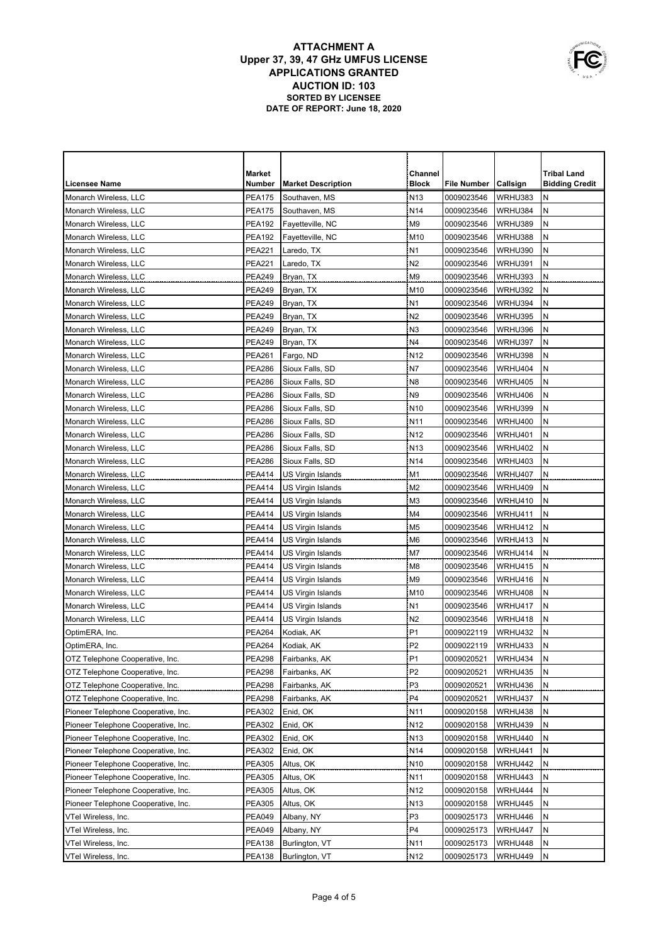|                                     | <b>Market</b> |                           | Channel         |             |                | <b>Tribal Land</b>    |
|-------------------------------------|---------------|---------------------------|-----------------|-------------|----------------|-----------------------|
| <b>Licensee Name</b>                | Number        | <b>Market Description</b> | <b>Block</b>    | File Number | Callsign       | <b>Bidding Credit</b> |
| Monarch Wireless, LLC               | <b>PEA175</b> | Southaven, MS             | N <sub>13</sub> | 0009023546  | WRHU383        | Ν                     |
| Monarch Wireless, LLC               | <b>PEA175</b> | Southaven, MS             | N <sub>14</sub> | 0009023546  | WRHU384        | N                     |
| Monarch Wireless, LLC               | <b>PEA192</b> | Fayetteville, NC          | M9              | 0009023546  | WRHU389        | Ν                     |
| Monarch Wireless, LLC               | <b>PEA192</b> | Fayetteville, NC          | M10             | 0009023546  | WRHU388        | N                     |
| Monarch Wireless, LLC               | <b>PEA221</b> | Laredo, TX                | N <sub>1</sub>  | 0009023546  | WRHU390        | Ν                     |
| Monarch Wireless, LLC               | <b>PEA221</b> | Laredo, TX                | N <sub>2</sub>  | 0009023546  | WRHU391        | Ν                     |
| Monarch Wireless, LLC               | <b>PEA249</b> | Bryan, TX                 | M <sub>9</sub>  | 0009023546  | WRHU393        | N                     |
| Monarch Wireless, LLC               | <b>PEA249</b> | Bryan, TX                 | M10             | 0009023546  | WRHU392        | N                     |
| Monarch Wireless, LLC               | <b>PEA249</b> | Bryan, TX                 | N <sub>1</sub>  | 0009023546  | WRHU394        | N                     |
| Monarch Wireless, LLC               | <b>PEA249</b> | Bryan, TX                 | N <sub>2</sub>  | 0009023546  | WRHU395        | ${\sf N}$             |
| Monarch Wireless, LLC               | <b>PEA249</b> | Bryan, TX                 | N <sub>3</sub>  | 0009023546  | WRHU396        | ${\sf N}$             |
| Monarch Wireless, LLC               | <b>PEA249</b> | Bryan, TX                 | N4              | 0009023546  | WRHU397        | ${\sf N}$             |
| Monarch Wireless, LLC               | <b>PEA261</b> | Fargo, ND                 | N <sub>12</sub> | 0009023546  | WRHU398        | N                     |
| Monarch Wireless, LLC               | <b>PEA286</b> | Sioux Falls, SD           | N7              | 0009023546  | WRHU404        | N                     |
| Monarch Wireless, LLC               | <b>PEA286</b> | Sioux Falls, SD           | N <sub>8</sub>  | 0009023546  | WRHU405        | ${\sf N}$             |
| Monarch Wireless, LLC               | <b>PEA286</b> | Sioux Falls, SD           | N9              | 0009023546  | WRHU406        | N                     |
| Monarch Wireless, LLC               | <b>PEA286</b> | Sioux Falls, SD           | N <sub>10</sub> | 0009023546  | WRHU399        | Ν                     |
| Monarch Wireless, LLC               | <b>PEA286</b> | Sioux Falls, SD           | N <sub>11</sub> | 0009023546  | WRHU400        | N                     |
| Monarch Wireless, LLC               | <b>PEA286</b> | Sioux Falls, SD           | N <sub>12</sub> | 0009023546  | <b>WRHU401</b> | N                     |
| Monarch Wireless, LLC               | <b>PEA286</b> | Sioux Falls, SD           | N <sub>13</sub> | 0009023546  | WRHU402        | N                     |
| Monarch Wireless, LLC               | <b>PEA286</b> | Sioux Falls, SD           | N <sub>14</sub> | 0009023546  | WRHU403        | N                     |
| Monarch Wireless, LLC               | PEA414        | US Virgin Islands         | M1              | 0009023546  | WRHU407        | N                     |
| Monarch Wireless, LLC               | PEA414        | US Virgin Islands         | M <sub>2</sub>  | 0009023546  | WRHU409        | Ν                     |
| Monarch Wireless, LLC               | <b>PEA414</b> | US Virgin Islands         | M3              | 0009023546  | WRHU410        | N                     |
| Monarch Wireless, LLC               | PEA414        | US Virgin Islands         | M4              | 0009023546  | WRHU411        | N                     |
| Monarch Wireless, LLC               | PEA414        | US Virgin Islands         | M5              | 0009023546  | WRHU412        | N                     |
| Monarch Wireless, LLC               | <b>PEA414</b> | US Virgin Islands         | M6              | 0009023546  | WRHU413        | N                     |
| Monarch Wireless, LLC               | <b>PEA414</b> | US Virgin Islands         | M7              | 0009023546  | WRHU414        | N                     |
| Monarch Wireless, LLC               | <b>PEA414</b> | US Virgin Islands         | M8              | 0009023546  | WRHU415        | N                     |
| Monarch Wireless, LLC               | <b>PEA414</b> | US Virgin Islands         | M9              | 0009023546  | WRHU416        | Ν                     |
| Monarch Wireless, LLC               | <b>PEA414</b> | US Virgin Islands         | M <sub>10</sub> | 0009023546  | WRHU408        | N                     |
| Monarch Wireless, LLC               | <b>PEA414</b> | US Virgin Islands         | N <sub>1</sub>  | 0009023546  | WRHU417        | N                     |
| Monarch Wireless, LLC               | <b>PEA414</b> | US Virgin Islands         | N <sub>2</sub>  | 0009023546  | WRHU418        | N                     |
| OptimERA, Inc.                      | <b>PEA264</b> | Kodiak, AK                | P <sub>1</sub>  | 0009022119  | WRHU432        | N                     |
| OptimERA, Inc.                      | <b>PEA264</b> | Kodiak, AK                | P <sub>2</sub>  | 0009022119  | WRHU433        | ${\sf N}$             |
| OTZ Telephone Cooperative, Inc.     | <b>PEA298</b> | Fairbanks, AK             | P <sub>1</sub>  | 0009020521  | WRHU434        | N                     |
| OTZ Telephone Cooperative, Inc.     | <b>PEA298</b> | Fairbanks, AK             | P <sub>2</sub>  | 0009020521  | WRHU435        | N                     |
| OTZ Telephone Cooperative, Inc.     | <b>PEA298</b> | Fairbanks, AK             | P <sub>3</sub>  | 0009020521  | WRHU436        | N                     |
| OTZ Telephone Cooperative, Inc.     | <b>PEA298</b> | Fairbanks, AK             | P4              | 0009020521  | WRHU437        | N                     |
| Pioneer Telephone Cooperative, Inc. | <b>PEA302</b> | Enid, OK                  | N <sub>11</sub> | 0009020158  | WRHU438        | N                     |
| Pioneer Telephone Cooperative, Inc. | PEA302        | Enid, OK                  | N <sub>12</sub> | 0009020158  | WRHU439        | N                     |
| Pioneer Telephone Cooperative, Inc. | <b>PEA302</b> | Enid, OK                  | N <sub>13</sub> | 0009020158  | WRHU440        | Ν                     |
| Pioneer Telephone Cooperative, Inc. | <b>PEA302</b> | Enid, OK                  | N <sub>14</sub> | 0009020158  | WRHU441        | Ν                     |
| Pioneer Telephone Cooperative, Inc. | PEA305        | Altus, OK                 | N <sub>10</sub> | 0009020158  | WRHU442        | Ν                     |
| Pioneer Telephone Cooperative, Inc. | <b>PEA305</b> | Altus, OK                 | N <sub>11</sub> | 0009020158  | WRHU443        | Ν                     |
| Pioneer Telephone Cooperative, Inc. | PEA305        | Altus, OK                 | N <sub>12</sub> | 0009020158  | WRHU444        | Ν                     |
| Pioneer Telephone Cooperative, Inc. | PEA305        | Altus, OK                 | N <sub>13</sub> | 0009020158  | WRHU445        | Ν                     |
| VTel Wireless, Inc.                 | PEA049        | Albany, NY                | P3              | 0009025173  | WRHU446        | Ν                     |
| VTel Wireless, Inc.                 | PEA049        | Albany, NY                | P4              | 0009025173  | WRHU447        | Ν                     |
| VTel Wireless, Inc.                 | PEA138        | Burlington, VT            | N11             | 0009025173  | WRHU448        | Ν                     |
| VTel Wireless, Inc.                 | <b>PEA138</b> | Burlington, VT            | N <sub>12</sub> | 0009025173  | WRHU449        | N                     |